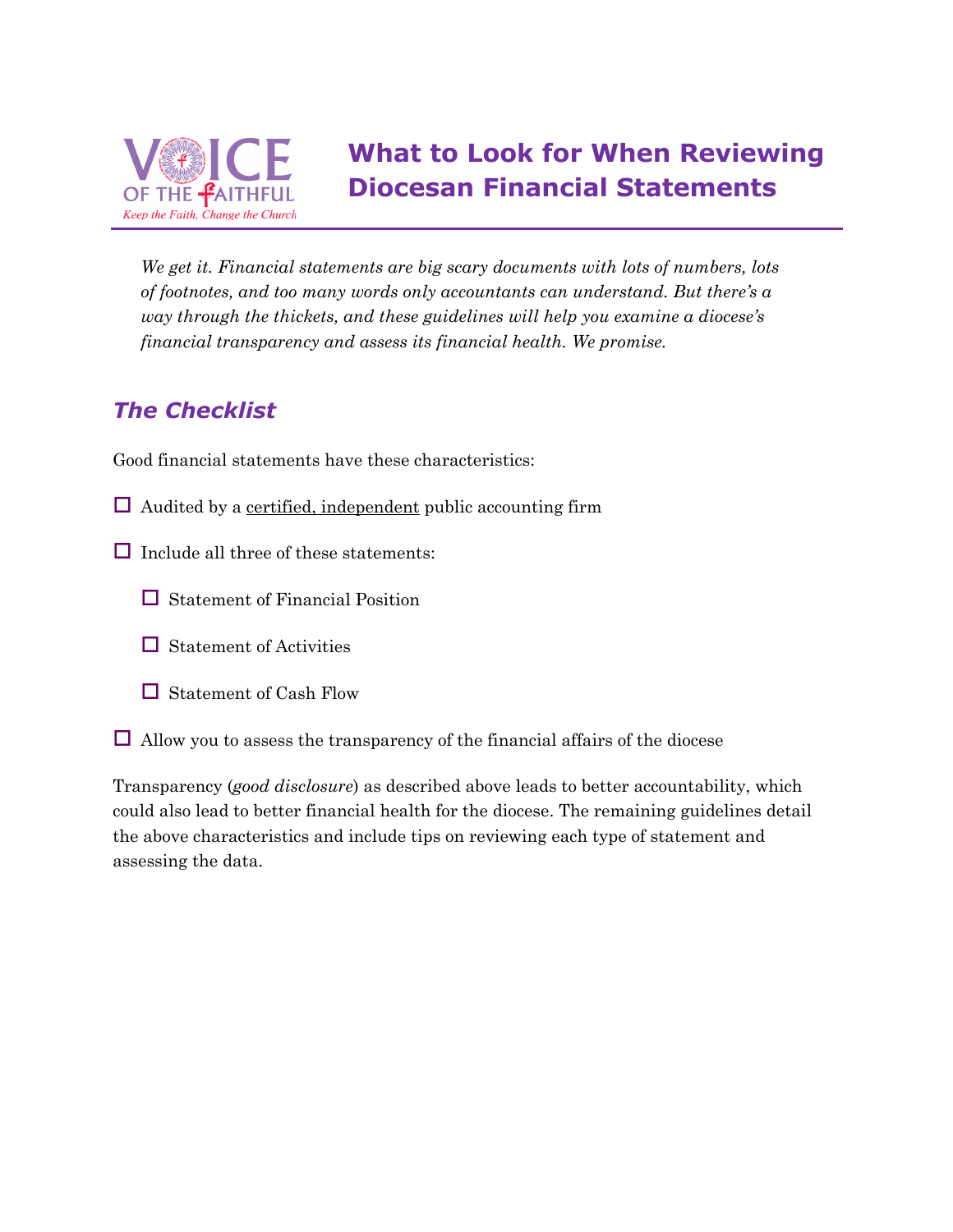

*We get it. Financial statements are big scary documents with lots of numbers, lots of footnotes, and too many words only accountants can understand. But there's a way through the thickets, and these guidelines will help you examine a diocese's financial transparency and assess its financial health. We promise.*

## *The Checklist*

Good financial statements have these characteristics:

- $\Box$  Audited by a certified, independent public accounting firm
- $\Box$  Include all three of these statements:
	- $\Box$  Statement of Financial Position
	- $\Box$  Statement of Activities
	- $\Box$  Statement of Cash Flow
- $\Box$  Allow you to assess the transparency of the financial affairs of the diocese

Transparency (*good disclosure*) as described above leads to better accountability, which could also lead to better financial health for the diocese. The remaining guidelines detail the above characteristics and include tips on reviewing each type of statement and assessing the data.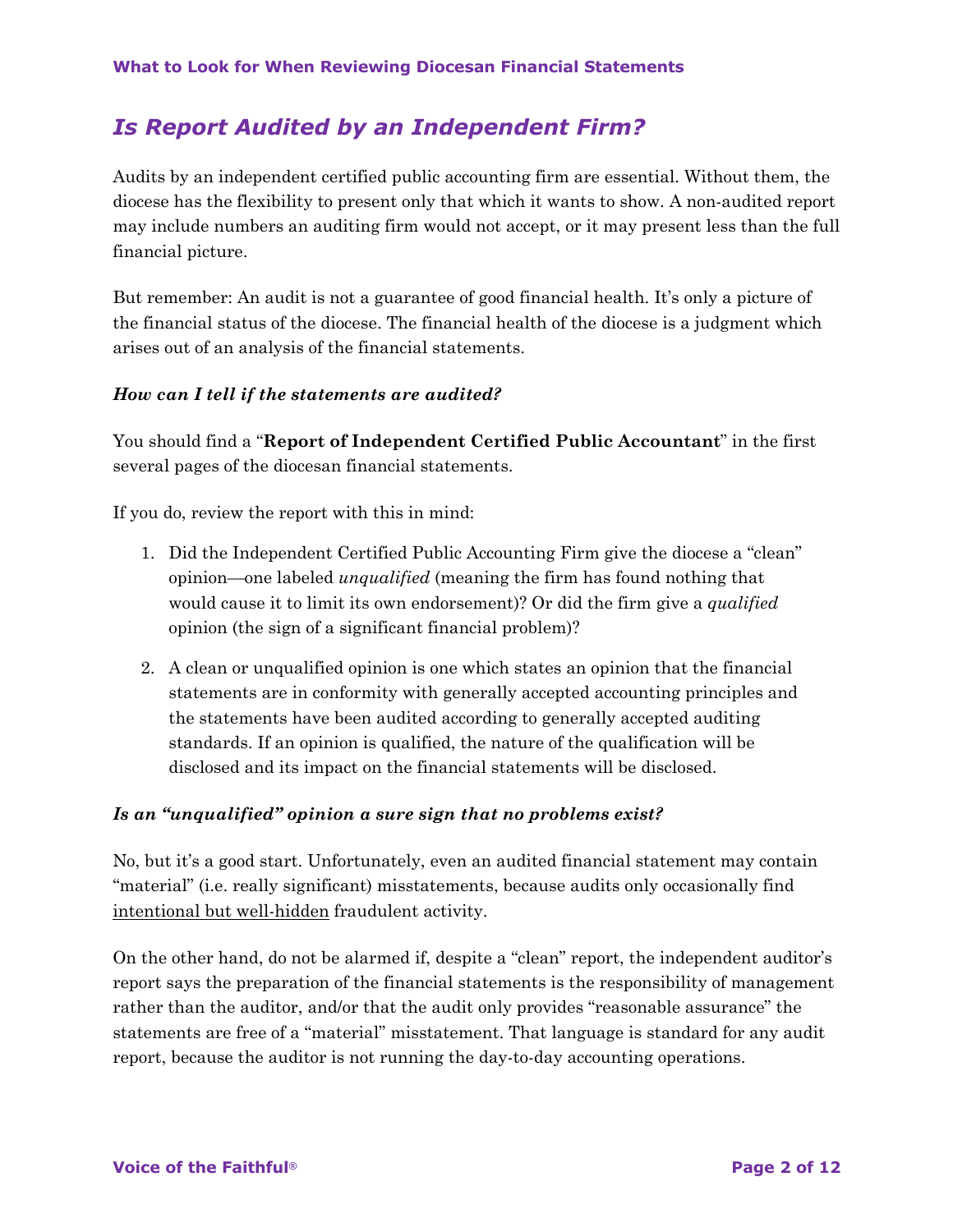## *Is Report Audited by an Independent Firm?*

Audits by an independent certified public accounting firm are essential. Without them, the diocese has the flexibility to present only that which it wants to show. A non-audited report may include numbers an auditing firm would not accept, or it may present less than the full financial picture.

But remember: An audit is not a guarantee of good financial health. It's only a picture of the financial status of the diocese. The financial health of the diocese is a judgment which arises out of an analysis of the financial statements.

### *How can I tell if the statements are audited?*

You should find a "**Report of Independent Certified Public Accountant**" in the first several pages of the diocesan financial statements.

If you do, review the report with this in mind:

- 1. Did the Independent Certified Public Accounting Firm give the diocese a "clean" opinion—one labeled *unqualified* (meaning the firm has found nothing that would cause it to limit its own endorsement)? Or did the firm give a *qualified* opinion (the sign of a significant financial problem)?
- 2. A clean or unqualified opinion is one which states an opinion that the financial statements are in conformity with generally accepted accounting principles and the statements have been audited according to generally accepted auditing standards. If an opinion is qualified, the nature of the qualification will be disclosed and its impact on the financial statements will be disclosed.

### *Is an "unqualified" opinion a sure sign that no problems exist?*

No, but it's a good start. Unfortunately, even an audited financial statement may contain "material" (i.e. really significant) misstatements, because audits only occasionally find intentional but well-hidden fraudulent activity.

On the other hand, do not be alarmed if, despite a "clean" report, the independent auditor's report says the preparation of the financial statements is the responsibility of management rather than the auditor, and/or that the audit only provides "reasonable assurance" the statements are free of a "material" misstatement. That language is standard for any audit report, because the auditor is not running the day-to-day accounting operations.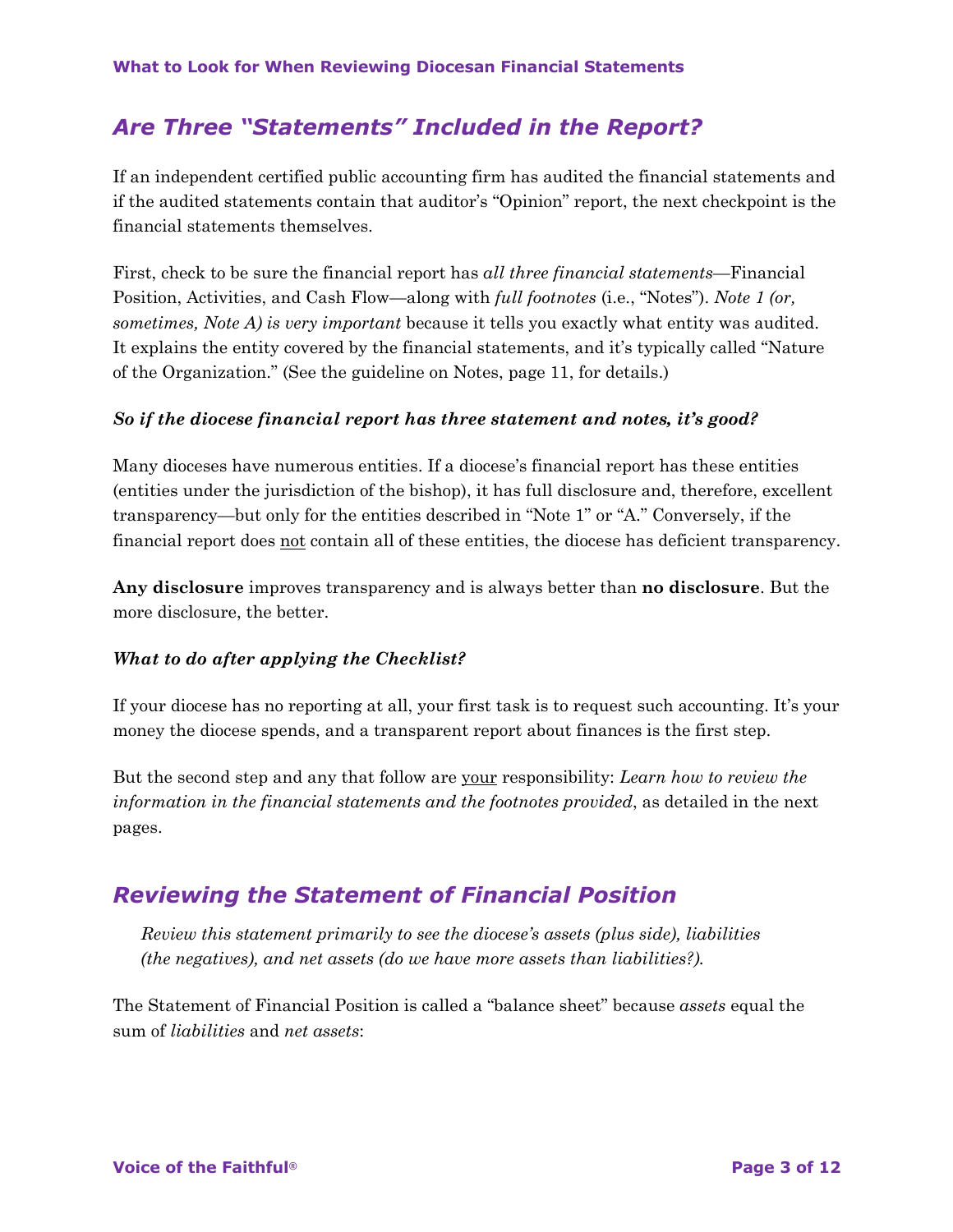## *Are Three "Statements" Included in the Report?*

If an independent certified public accounting firm has audited the financial statements and if the audited statements contain that auditor's "Opinion" report, the next checkpoint is the financial statements themselves.

First, check to be sure the financial report has *all three financial statements*—Financial Position, Activities, and Cash Flow—along with *full footnotes* (i.e., "Notes"). *Note 1 (or, sometimes, Note A) is very important* because it tells you exactly what entity was audited. It explains the entity covered by the financial statements, and it's typically called "Nature of the Organization." (See the guideline on Notes, page 11, for details.)

#### *So if the diocese financial report has three statement and notes, it's good?*

Many dioceses have numerous entities. If a diocese's financial report has these entities (entities under the jurisdiction of the bishop), it has full disclosure and, therefore, excellent transparency—but only for the entities described in "Note 1" or "A." Conversely, if the financial report does not contain all of these entities, the diocese has deficient transparency.

**Any disclosure** improves transparency and is always better than **no disclosure**. But the more disclosure, the better.

#### *What to do after applying the Checklist?*

If your diocese has no reporting at all, your first task is to request such accounting. It's your money the diocese spends, and a transparent report about finances is the first step.

But the second step and any that follow are your responsibility: *Learn how to review the information in the financial statements and the footnotes provided*, as detailed in the next pages.

### *Reviewing the Statement of Financial Position*

*Review this statement primarily to see the diocese's assets (plus side), liabilities (the negatives), and net assets (do we have more assets than liabilities?).*

The Statement of Financial Position is called a "balance sheet" because *assets* equal the sum of *liabilities* and *net assets*: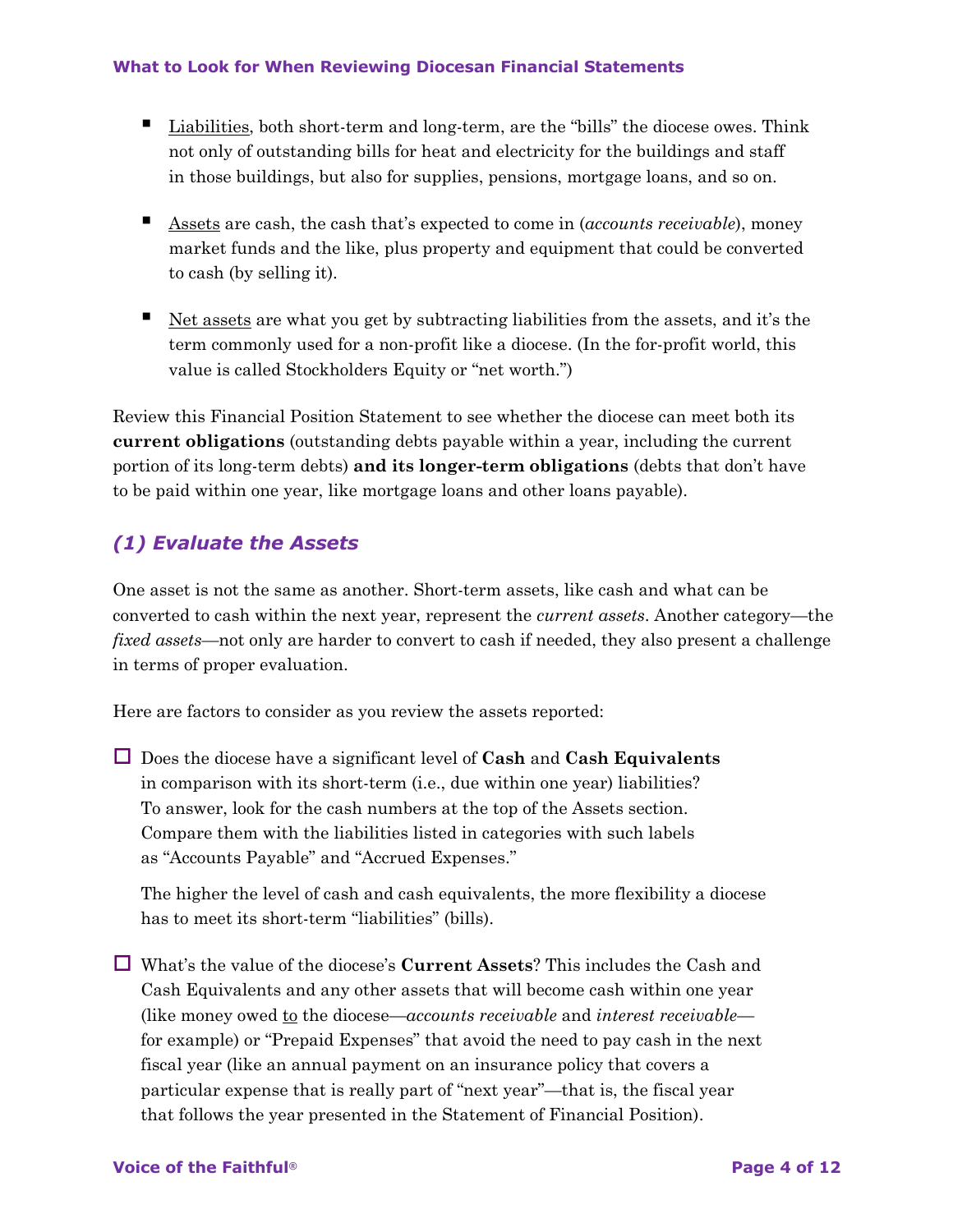- Liabilities, both short-term and long-term, are the "bills" the diocese owes. Think not only of outstanding bills for heat and electricity for the buildings and staff in those buildings, but also for supplies, pensions, mortgage loans, and so on.
- Assets are cash, the cash that's expected to come in (*accounts receivable*), money market funds and the like, plus property and equipment that could be converted to cash (by selling it).
- Net assets are what you get by subtracting liabilities from the assets, and it's the term commonly used for a non-profit like a diocese. (In the for-profit world, this value is called Stockholders Equity or "net worth.")

Review this Financial Position Statement to see whether the diocese can meet both its **current obligations** (outstanding debts payable within a year, including the current portion of its long-term debts) **and its longer-term obligations** (debts that don't have to be paid within one year, like mortgage loans and other loans payable).

### *(1) Evaluate the Assets*

One asset is not the same as another. Short-term assets, like cash and what can be converted to cash within the next year, represent the *current assets*. Another category—the *fixed assets*—not only are harder to convert to cash if needed, they also present a challenge in terms of proper evaluation.

Here are factors to consider as you review the assets reported:

□ Does the diocese have a significant level of **Cash** and **Cash Equivalents** in comparison with its short-term (i.e., due within one year) liabilities? To answer, look for the cash numbers at the top of the Assets section. Compare them with the liabilities listed in categories with such labels as "Accounts Payable" and "Accrued Expenses."

The higher the level of cash and cash equivalents, the more flexibility a diocese has to meet its short-term "liabilities" (bills).

o What's the value of the diocese's **Current Assets**? This includes the Cash and Cash Equivalents and any other assets that will become cash within one year (like money owed to the diocese—*accounts receivable* and *interest receivable* for example) or "Prepaid Expenses" that avoid the need to pay cash in the next fiscal year (like an annual payment on an insurance policy that covers a particular expense that is really part of "next year"—that is, the fiscal year that follows the year presented in the Statement of Financial Position).

#### **Voice of the Faithful® Page 4 of 12**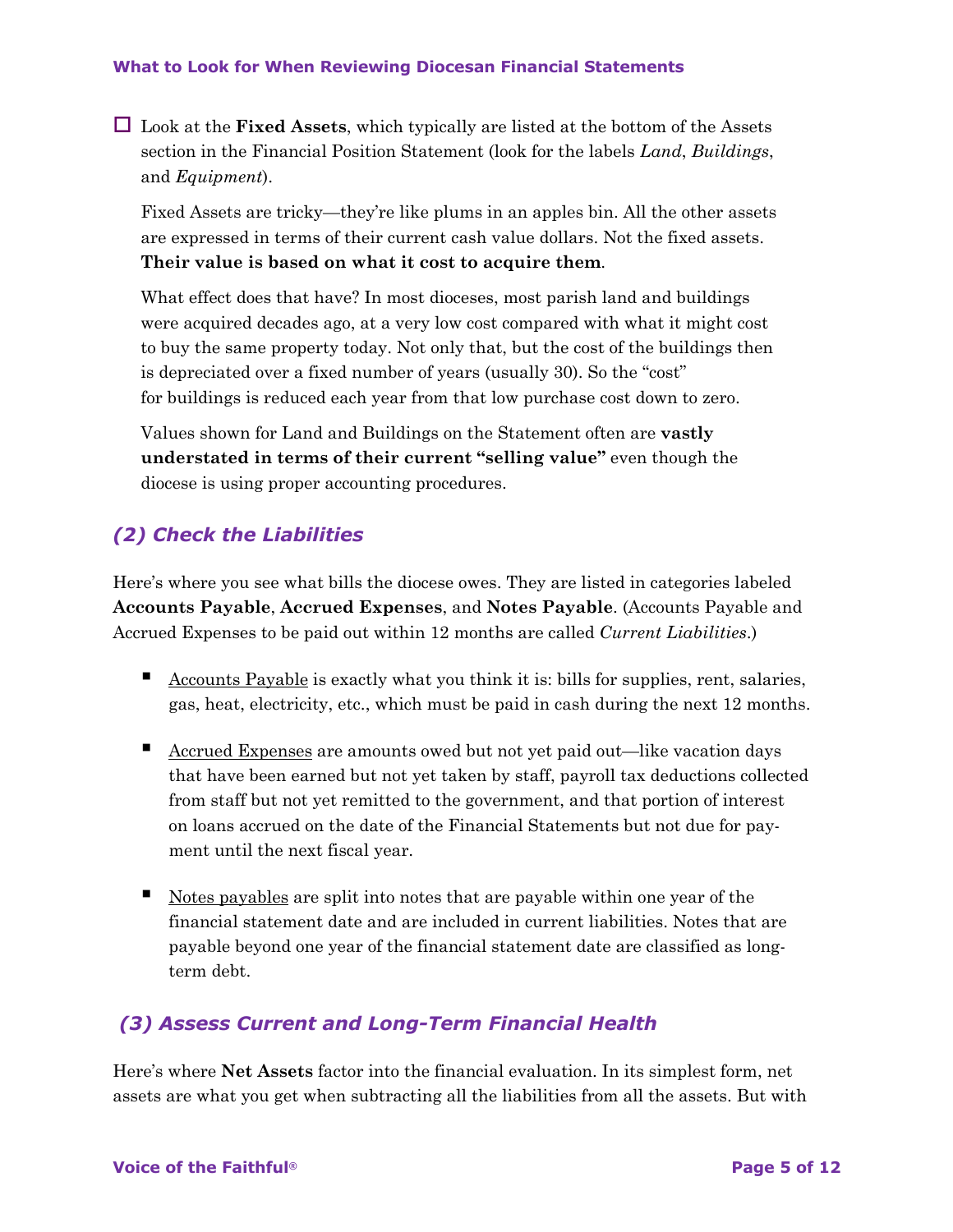$\Box$  Look at the **Fixed Assets**, which typically are listed at the bottom of the Assets section in the Financial Position Statement (look for the labels *Land*, *Buildings*, and *Equipment*).

Fixed Assets are tricky—they're like plums in an apples bin. All the other assets are expressed in terms of their current cash value dollars. Not the fixed assets. **Their value is based on what it cost to acquire them**.

What effect does that have? In most dioceses, most parish land and buildings were acquired decades ago, at a very low cost compared with what it might cost to buy the same property today. Not only that, but the cost of the buildings then is depreciated over a fixed number of years (usually 30). So the "cost" for buildings is reduced each year from that low purchase cost down to zero.

Values shown for Land and Buildings on the Statement often are **vastly understated in terms of their current "selling value"** even though the diocese is using proper accounting procedures.

### *(2) Check the Liabilities*

Here's where you see what bills the diocese owes. They are listed in categories labeled **Accounts Payable**, **Accrued Expenses**, and **Notes Payable**. (Accounts Payable and Accrued Expenses to be paid out within 12 months are called *Current Liabilities*.)

- Accounts Payable is exactly what you think it is: bills for supplies, rent, salaries, gas, heat, electricity, etc., which must be paid in cash during the next 12 months.
- Accrued Expenses are amounts owed but not yet paid out—like vacation days that have been earned but not yet taken by staff, payroll tax deductions collected from staff but not yet remitted to the government, and that portion of interest on loans accrued on the date of the Financial Statements but not due for payment until the next fiscal year.
- Notes payables are split into notes that are payable within one year of the financial statement date and are included in current liabilities. Notes that are payable beyond one year of the financial statement date are classified as longterm debt.

### *(3) Assess Current and Long-Term Financial Health*

Here's where **Net Assets** factor into the financial evaluation. In its simplest form, net assets are what you get when subtracting all the liabilities from all the assets. But with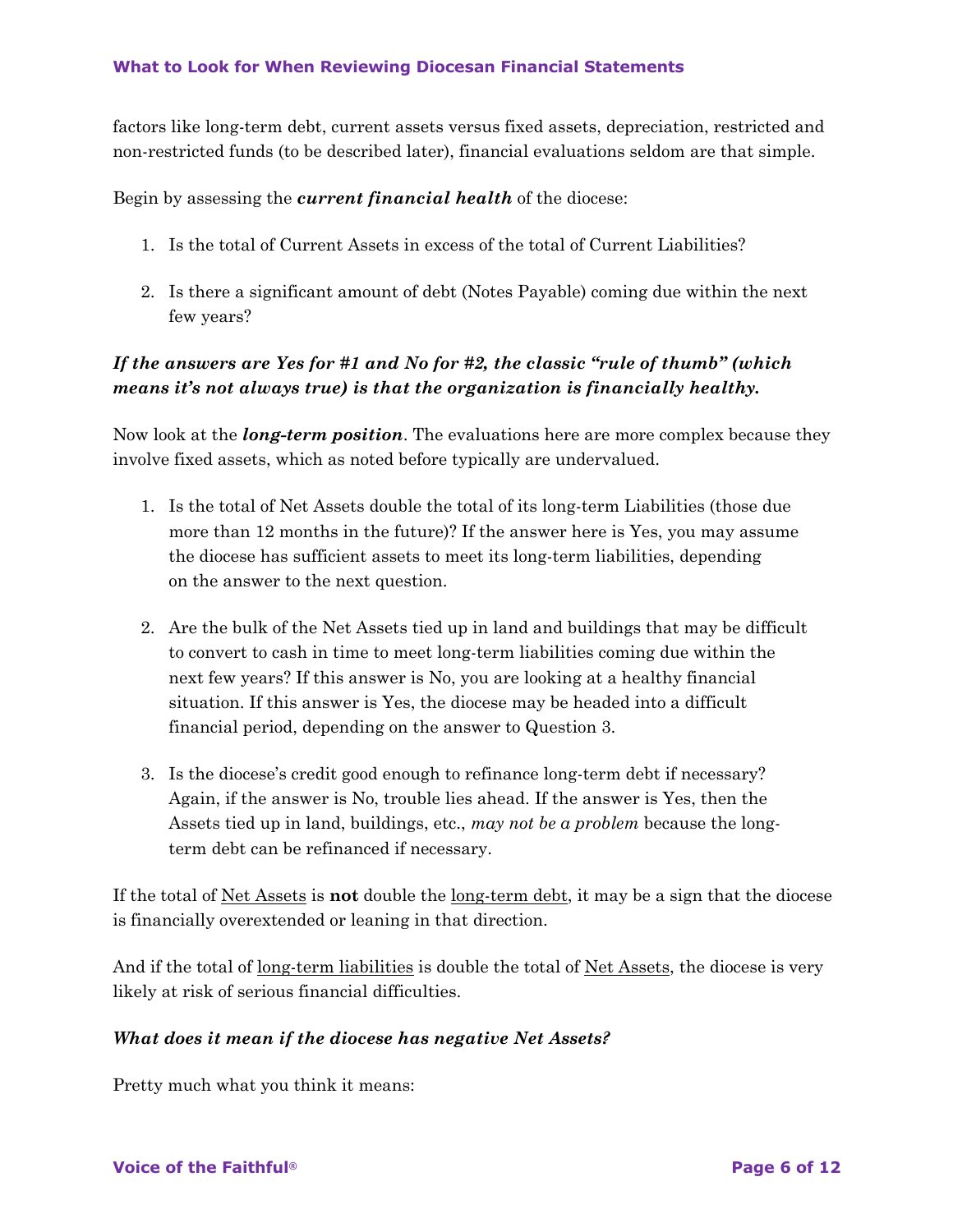factors like long-term debt, current assets versus fixed assets, depreciation, restricted and non-restricted funds (to be described later), financial evaluations seldom are that simple.

Begin by assessing the *current financial health* of the diocese:

- 1. Is the total of Current Assets in excess of the total of Current Liabilities?
- 2. Is there a significant amount of debt (Notes Payable) coming due within the next few years?

### *If the answers are Yes for #1 and No for #2, the classic "rule of thumb" (which means it's not always true) is that the organization is financially healthy.*

Now look at the *long-term position*. The evaluations here are more complex because they involve fixed assets, which as noted before typically are undervalued.

- 1. Is the total of Net Assets double the total of its long-term Liabilities (those due more than 12 months in the future)? If the answer here is Yes, you may assume the diocese has sufficient assets to meet its long-term liabilities, depending on the answer to the next question.
- 2. Are the bulk of the Net Assets tied up in land and buildings that may be difficult to convert to cash in time to meet long-term liabilities coming due within the next few years? If this answer is No, you are looking at a healthy financial situation. If this answer is Yes, the diocese may be headed into a difficult financial period, depending on the answer to Question 3.
- 3. Is the diocese's credit good enough to refinance long-term debt if necessary? Again, if the answer is No, trouble lies ahead. If the answer is Yes, then the Assets tied up in land, buildings, etc., *may not be a problem* because the longterm debt can be refinanced if necessary.

If the total of Net Assets is **not** double the long-term debt, it may be a sign that the diocese is financially overextended or leaning in that direction.

And if the total of <u>long-term liabilities</u> is double the total of <u>Net Assets</u>, the diocese is very likely at risk of serious financial difficulties.

### *What does it mean if the diocese has negative Net Assets?*

Pretty much what you think it means: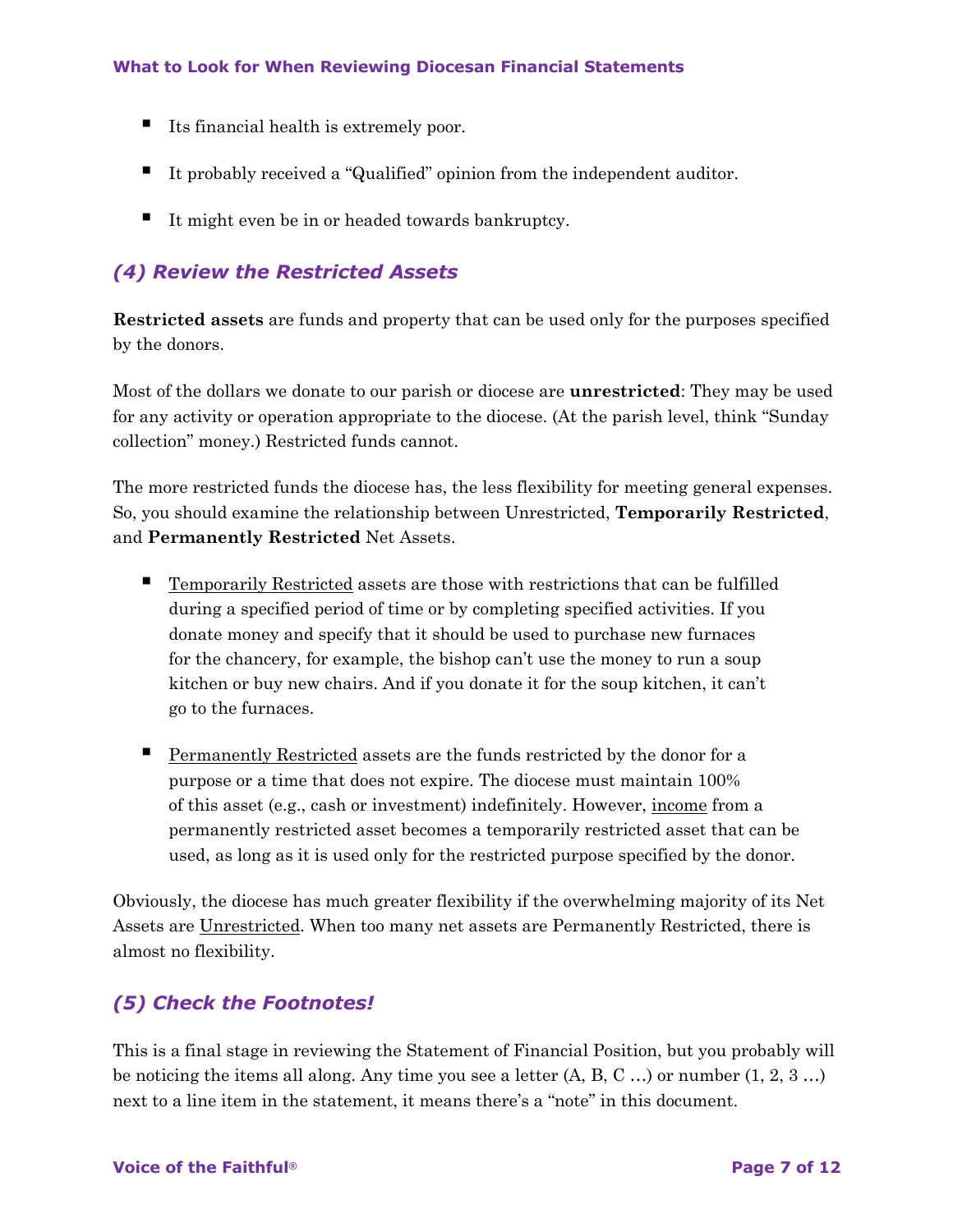- Its financial health is extremely poor.
- It probably received a "Qualified" opinion from the independent auditor.
- It might even be in or headed towards bankruptcy.

### *(4) Review the Restricted Assets*

**Restricted assets** are funds and property that can be used only for the purposes specified by the donors.

Most of the dollars we donate to our parish or diocese are **unrestricted**: They may be used for any activity or operation appropriate to the diocese. (At the parish level, think "Sunday collection" money.) Restricted funds cannot.

The more restricted funds the diocese has, the less flexibility for meeting general expenses. So, you should examine the relationship between Unrestricted, **Temporarily Restricted**, and **Permanently Restricted** Net Assets.

- Temporarily Restricted assets are those with restrictions that can be fulfilled during a specified period of time or by completing specified activities. If you donate money and specify that it should be used to purchase new furnaces for the chancery, for example, the bishop can't use the money to run a soup kitchen or buy new chairs. And if you donate it for the soup kitchen, it can't go to the furnaces.
- Permanently Restricted assets are the funds restricted by the donor for a purpose or a time that does not expire. The diocese must maintain 100% of this asset (e.g., cash or investment) indefinitely. However, income from a permanently restricted asset becomes a temporarily restricted asset that can be used, as long as it is used only for the restricted purpose specified by the donor.

Obviously, the diocese has much greater flexibility if the overwhelming majority of its Net Assets are Unrestricted. When too many net assets are Permanently Restricted, there is almost no flexibility.

### *(5) Check the Footnotes!*

This is a final stage in reviewing the Statement of Financial Position, but you probably will be noticing the items all along. Any time you see a letter  $(A, B, C, \ldots)$  or number  $(1, 2, 3, \ldots)$ next to a line item in the statement, it means there's a "note" in this document.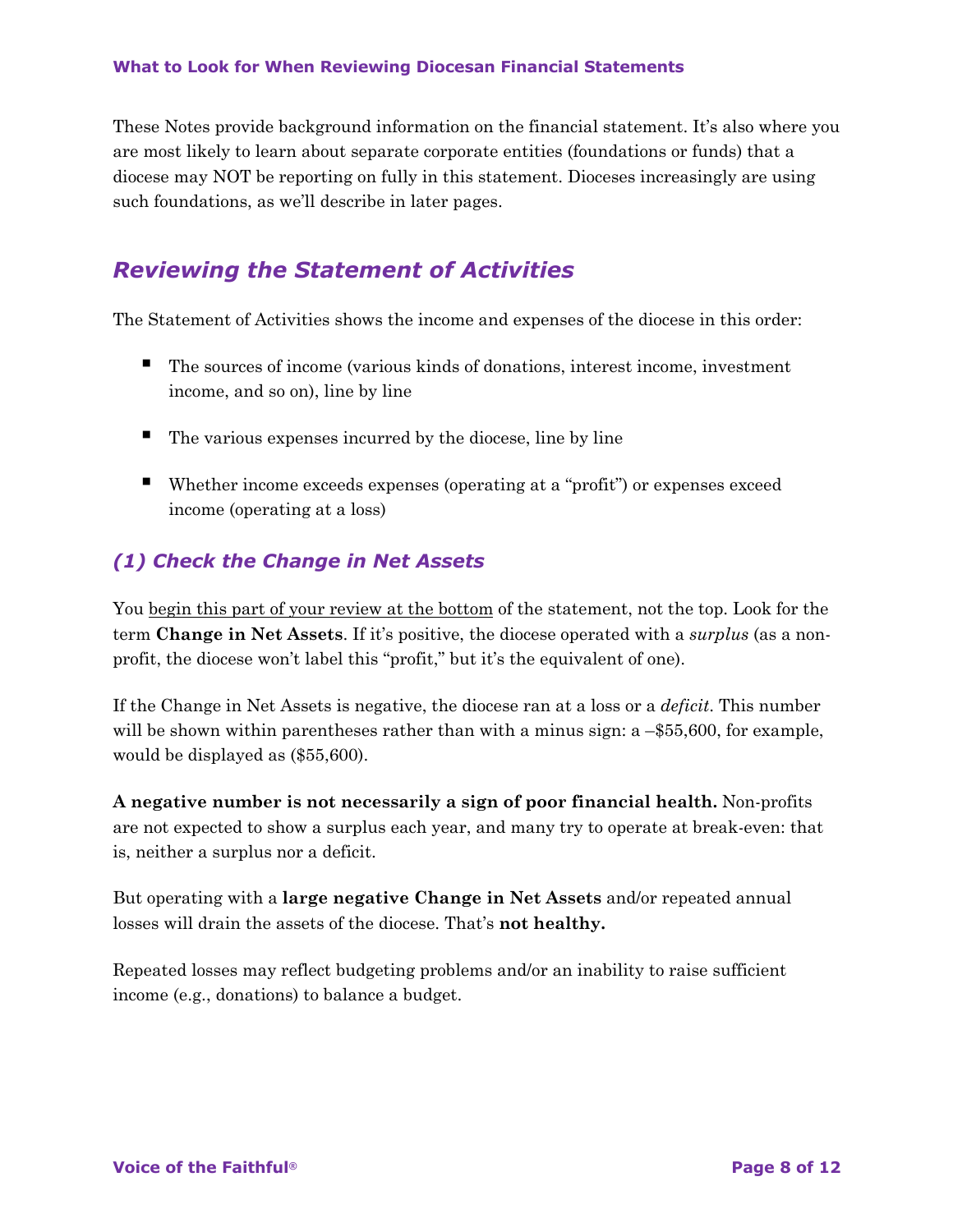These Notes provide background information on the financial statement. It's also where you are most likely to learn about separate corporate entities (foundations or funds) that a diocese may NOT be reporting on fully in this statement. Dioceses increasingly are using such foundations, as we'll describe in later pages.

## *Reviewing the Statement of Activities*

The Statement of Activities shows the income and expenses of the diocese in this order:

- The sources of income (various kinds of donations, interest income, investment income, and so on), line by line
- The various expenses incurred by the diocese, line by line
- Whether income exceeds expenses (operating at a "profit") or expenses exceed income (operating at a loss)

### *(1) Check the Change in Net Assets*

You begin this part of your review at the bottom of the statement, not the top. Look for the term **Change in Net Assets**. If it's positive, the diocese operated with a *surplus* (as a nonprofit, the diocese won't label this "profit," but it's the equivalent of one).

If the Change in Net Assets is negative, the diocese ran at a loss or a *deficit*. This number will be shown within parentheses rather than with a minus sign: a –\$55,600, for example, would be displayed as (\$55,600).

**A negative number is not necessarily a sign of poor financial health.** Non-profits are not expected to show a surplus each year, and many try to operate at break-even: that is, neither a surplus nor a deficit.

But operating with a **large negative Change in Net Assets** and/or repeated annual losses will drain the assets of the diocese. That's **not healthy.**

Repeated losses may reflect budgeting problems and/or an inability to raise sufficient income (e.g., donations) to balance a budget.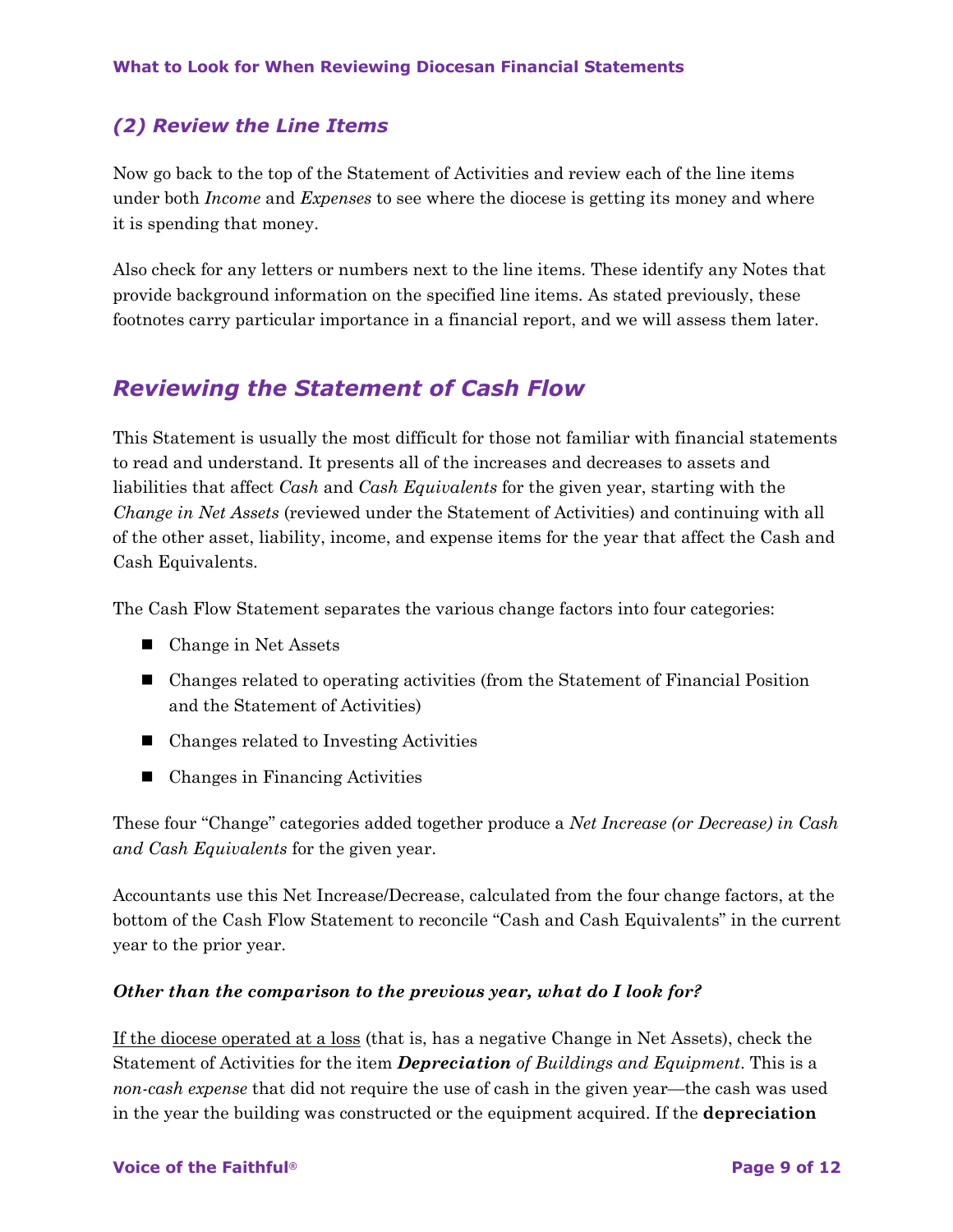### *(2) Review the Line Items*

Now go back to the top of the Statement of Activities and review each of the line items under both *Income* and *Expenses* to see where the diocese is getting its money and where it is spending that money.

Also check for any letters or numbers next to the line items. These identify any Notes that provide background information on the specified line items. As stated previously, these footnotes carry particular importance in a financial report, and we will assess them later.

### *Reviewing the Statement of Cash Flow*

This Statement is usually the most difficult for those not familiar with financial statements to read and understand. It presents all of the increases and decreases to assets and liabilities that affect *Cash* and *Cash Equivalents* for the given year, starting with the *Change in Net Assets* (reviewed under the Statement of Activities) and continuing with all of the other asset, liability, income, and expense items for the year that affect the Cash and Cash Equivalents.

The Cash Flow Statement separates the various change factors into four categories:

- $\blacksquare$  Change in Net Assets
- $\blacksquare$  Changes related to operating activities (from the Statement of Financial Position and the Statement of Activities)
- $\blacksquare$  Changes related to Investing Activities
- $\blacksquare$  Changes in Financing Activities

These four "Change" categories added together produce a *Net Increase (or Decrease) in Cash and Cash Equivalents* for the given year.

Accountants use this Net Increase/Decrease, calculated from the four change factors, at the bottom of the Cash Flow Statement to reconcile "Cash and Cash Equivalents" in the current year to the prior year.

#### *Other than the comparison to the previous year, what do I look for?*

If the diocese operated at a loss (that is, has a negative Change in Net Assets), check the Statement of Activities for the item *Depreciation of Buildings and Equipment*. This is a *non-cash expense* that did not require the use of cash in the given year—the cash was used in the year the building was constructed or the equipment acquired. If the **depreciation**

#### **Voice of the Faithful® Page 9 of 12**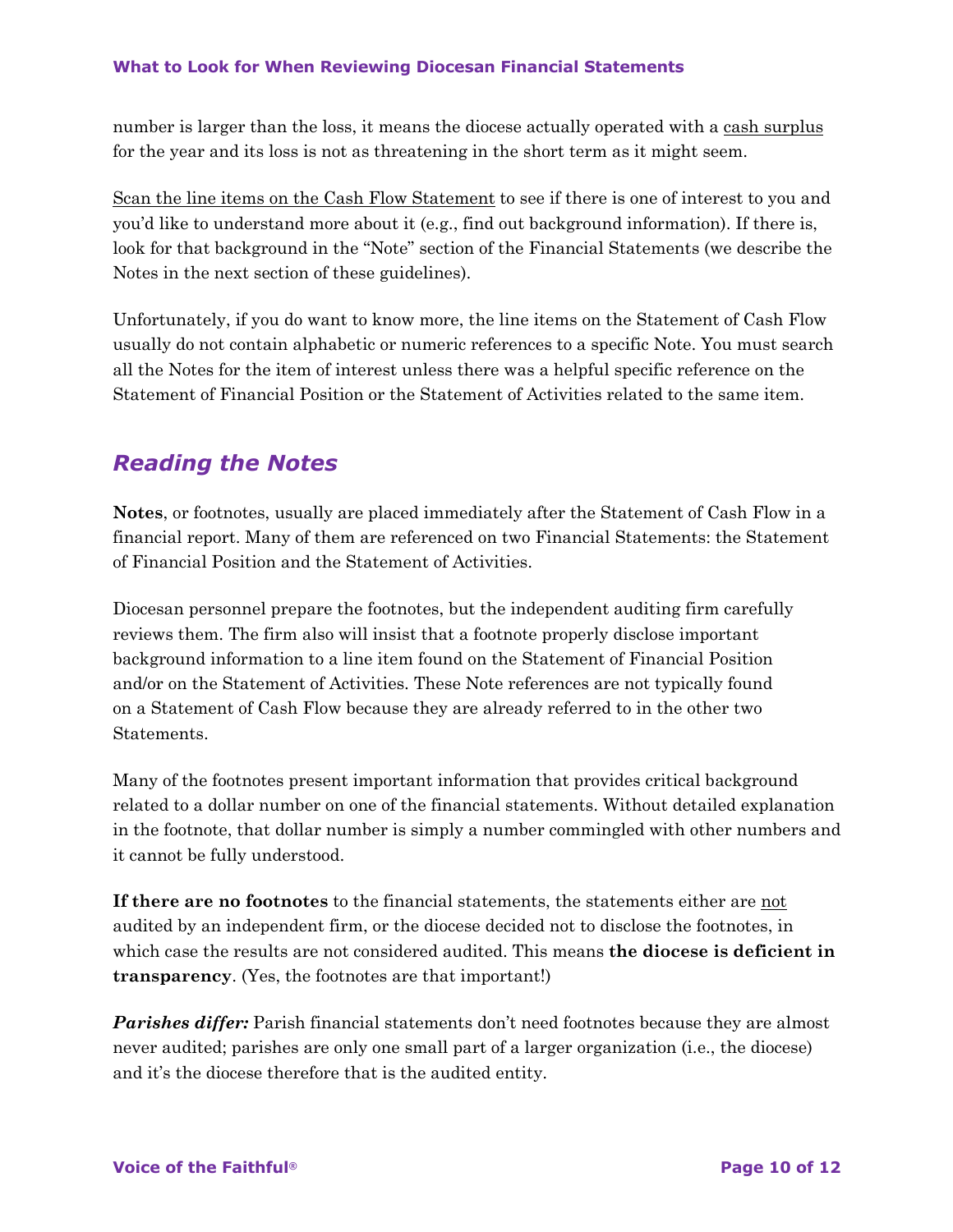number is larger than the loss, it means the diocese actually operated with a cash surplus for the year and its loss is not as threatening in the short term as it might seem.

Scan the line items on the Cash Flow Statement to see if there is one of interest to you and you'd like to understand more about it (e.g., find out background information). If there is, look for that background in the "Note" section of the Financial Statements (we describe the Notes in the next section of these guidelines).

Unfortunately, if you do want to know more, the line items on the Statement of Cash Flow usually do not contain alphabetic or numeric references to a specific Note. You must search all the Notes for the item of interest unless there was a helpful specific reference on the Statement of Financial Position or the Statement of Activities related to the same item.

## *Reading the Notes*

**Notes**, or footnotes, usually are placed immediately after the Statement of Cash Flow in a financial report. Many of them are referenced on two Financial Statements: the Statement of Financial Position and the Statement of Activities.

Diocesan personnel prepare the footnotes, but the independent auditing firm carefully reviews them. The firm also will insist that a footnote properly disclose important background information to a line item found on the Statement of Financial Position and/or on the Statement of Activities. These Note references are not typically found on a Statement of Cash Flow because they are already referred to in the other two Statements.

Many of the footnotes present important information that provides critical background related to a dollar number on one of the financial statements. Without detailed explanation in the footnote, that dollar number is simply a number commingled with other numbers and it cannot be fully understood.

**If there are no footnotes** to the financial statements, the statements either are not audited by an independent firm, or the diocese decided not to disclose the footnotes, in which case the results are not considered audited. This means **the diocese is deficient in transparency**. (Yes, the footnotes are that important!)

*Parishes differ:* Parish financial statements don't need footnotes because they are almost never audited; parishes are only one small part of a larger organization (i.e., the diocese) and it's the diocese therefore that is the audited entity.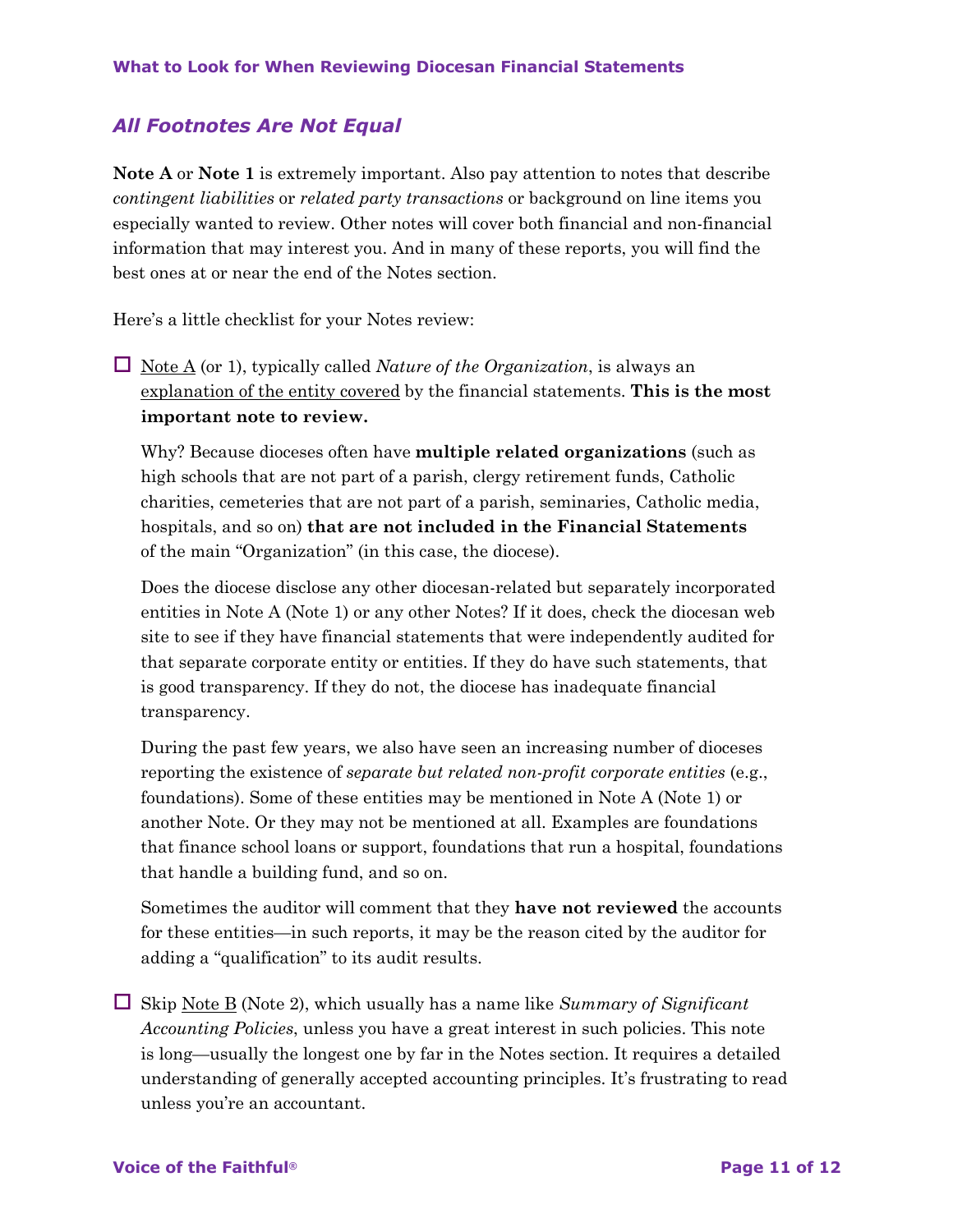### *All Footnotes Are Not Equal*

**Note A** or **Note 1** is extremely important. Also pay attention to notes that describe *contingent liabilities* or *related party transactions* or background on line items you especially wanted to review. Other notes will cover both financial and non-financial information that may interest you. And in many of these reports, you will find the best ones at or near the end of the Notes section.

Here's a little checklist for your Notes review:

 $\Box$  Note A (or 1), typically called *Nature of the Organization*, is always an explanation of the entity covered by the financial statements. **This is the most important note to review.**

Why? Because dioceses often have **multiple related organizations** (such as high schools that are not part of a parish, clergy retirement funds, Catholic charities, cemeteries that are not part of a parish, seminaries, Catholic media, hospitals, and so on) **that are not included in the Financial Statements** of the main "Organization" (in this case, the diocese).

Does the diocese disclose any other diocesan-related but separately incorporated entities in Note A (Note 1) or any other Notes? If it does, check the diocesan web site to see if they have financial statements that were independently audited for that separate corporate entity or entities. If they do have such statements, that is good transparency. If they do not, the diocese has inadequate financial transparency.

During the past few years, we also have seen an increasing number of dioceses reporting the existence of *separate but related non-profit corporate entities* (e.g., foundations). Some of these entities may be mentioned in Note A (Note 1) or another Note. Or they may not be mentioned at all. Examples are foundations that finance school loans or support, foundations that run a hospital, foundations that handle a building fund, and so on.

Sometimes the auditor will comment that they **have not reviewed** the accounts for these entities—in such reports, it may be the reason cited by the auditor for adding a "qualification" to its audit results.

 $\Box$  Skip Note B (Note 2), which usually has a name like *Summary of Significant Accounting Policies*, unless you have a great interest in such policies. This note is long—usually the longest one by far in the Notes section. It requires a detailed understanding of generally accepted accounting principles. It's frustrating to read unless you're an accountant.